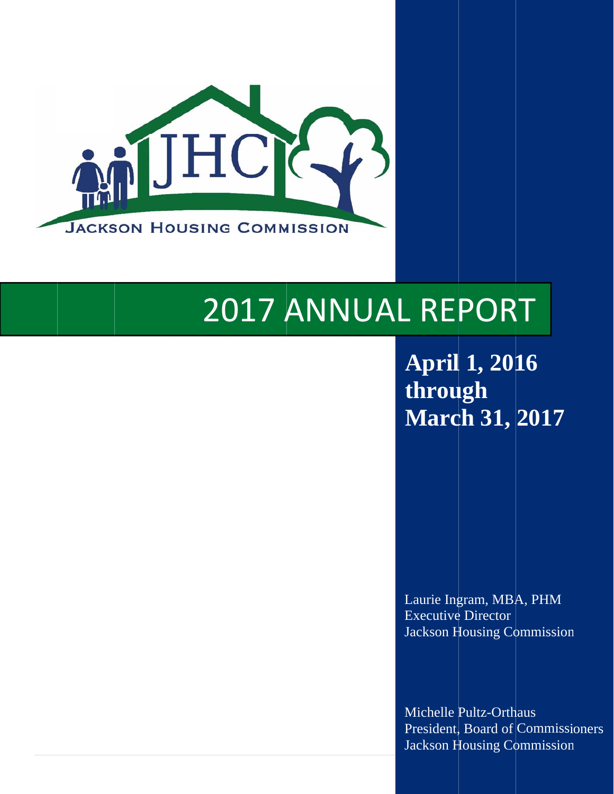

# 2017 ANNUAL REPORT

April 1, 2016 **throu ugh Marc ch 31, 2017**

Laurie Ingram, MBA, PHM **Executive Director** Jackson Housing Commission

Michelle P Pultz-Orth haus President, Board of Commissioners Jackson Housing Commission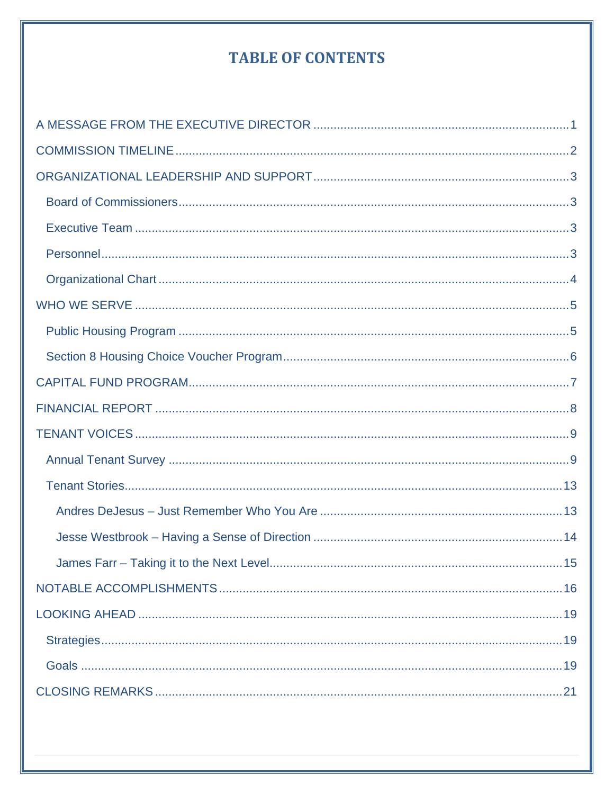## **TABLE OF CONTENTS**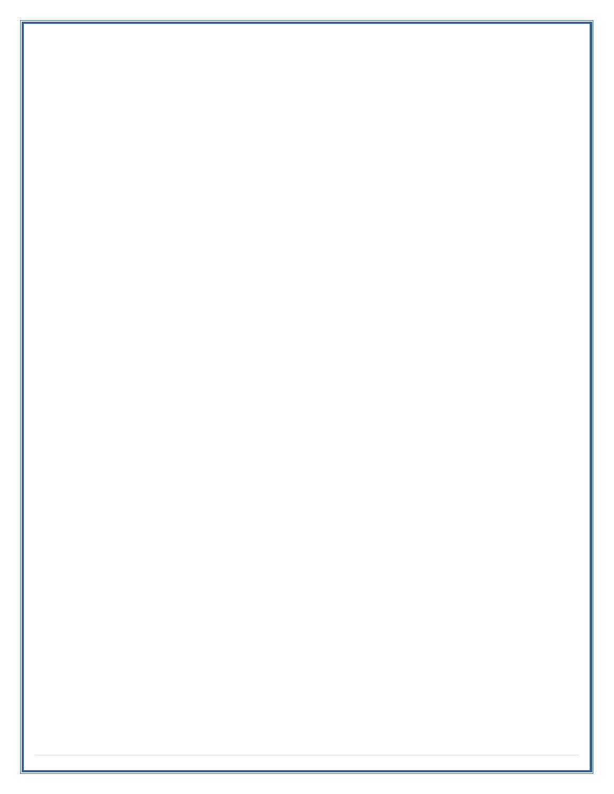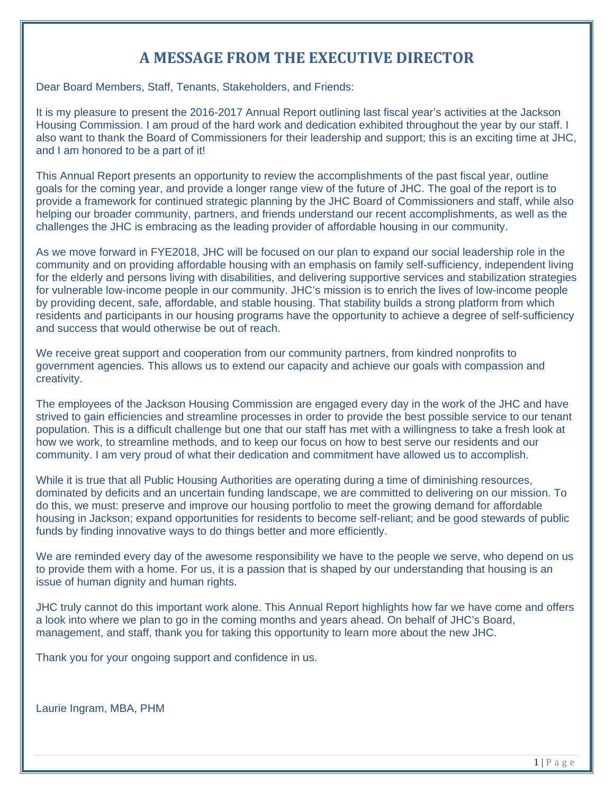## **A MESSAGE FROM THE EXECUTIVE DIRECTOR**

Dear Board Members, Staff, Tenants, Stakeholders, and Friends:

It is my pleasure to present the 2016-2017 Annual Report outlining last fiscal year's activities at the Jackson Housing Commission. I am proud of the hard work and dedication exhibited throughout the year by our staff. I also want to thank the Board of Commissioners for their leadership and support; this is an exciting time at JHC, and I am honored to be a part of it!

This Annual Report presents an opportunity to review the accomplishments of the past fiscal year, outline goals for the coming year, and provide a longer range view of the future of JHC. The goal of the report is to provide a framework for continued strategic planning by the JHC Board of Commissioners and staff, while also helping our broader community, partners, and friends understand our recent accomplishments, as well as the challenges the JHC is embracing as the leading provider of affordable housing in our community.

As we move forward in FYE2018, JHC will be focused on our plan to expand our social leadership role in the community and on providing affordable housing with an emphasis on family self-sufficiency, independent living for the elderly and persons living with disabilities, and delivering supportive services and stabilization strategies for vulnerable low-income people in our community. JHC's mission is to enrich the lives of low-income people by providing decent, safe, affordable, and stable housing. That stability builds a strong platform from which residents and participants in our housing programs have the opportunity to achieve a degree of self-sufficiency and success that would otherwise be out of reach.

We receive great support and cooperation from our community partners, from kindred nonprofits to government agencies. This allows us to extend our capacity and achieve our goals with compassion and creativity.

The employees of the Jackson Housing Commission are engaged every day in the work of the JHC and have strived to gain efficiencies and streamline processes in order to provide the best possible service to our tenant population. This is a difficult challenge but one that our staff has met with a willingness to take a fresh look at how we work, to streamline methods, and to keep our focus on how to best serve our residents and our community. I am very proud of what their dedication and commitment have allowed us to accomplish.

While it is true that all Public Housing Authorities are operating during a time of diminishing resources, dominated by deficits and an uncertain funding landscape, we are committed to delivering on our mission. To do this, we must: preserve and improve our housing portfolio to meet the growing demand for affordable housing in Jackson; expand opportunities for residents to become self-reliant; and be good stewards of public funds by finding innovative ways to do things better and more efficiently.

We are reminded every day of the awesome responsibility we have to the people we serve, who depend on us to provide them with a home. For us, it is a passion that is shaped by our understanding that housing is an issue of human dignity and human rights.

JHC truly cannot do this important work alone. This Annual Report highlights how far we have come and offers a look into where we plan to go in the coming months and years ahead. On behalf of JHC's Board, management, and staff, thank you for taking this opportunity to learn more about the new JHC.

Thank you for your ongoing support and confidence in us.

Laurie Ingram, MBA, PHM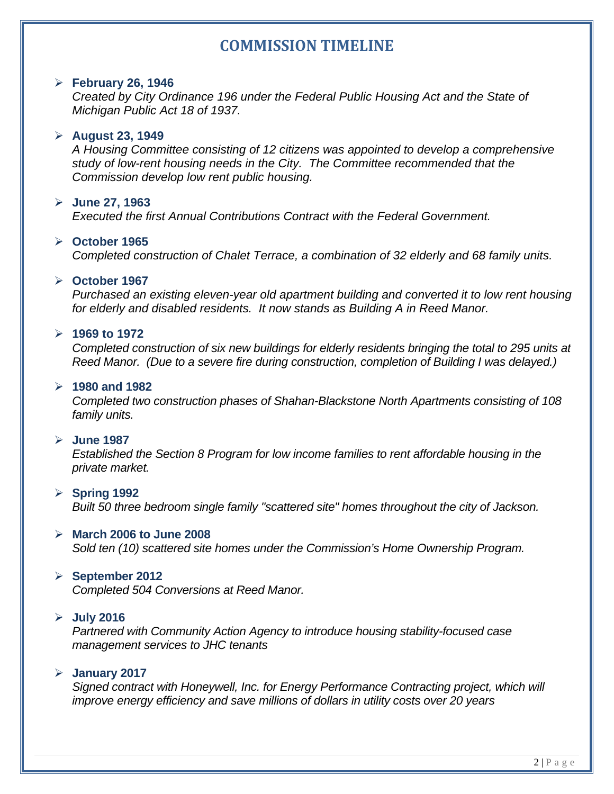## **COMMISSION TIMELINE**

### **February 26, 1946**

*Created by City Ordinance 196 under the Federal Public Housing Act and the State of Michigan Public Act 18 of 1937.* 

#### **August 23, 1949**

*A Housing Committee consisting of 12 citizens was appointed to develop a comprehensive study of low-rent housing needs in the City. The Committee recommended that the Commission develop low rent public housing.* 

#### **June 27, 1963**

*Executed the first Annual Contributions Contract with the Federal Government.* 

#### **October 1965**

*Completed construction of Chalet Terrace, a combination of 32 elderly and 68 family units.* 

### **October 1967**

*Purchased an existing eleven-year old apartment building and converted it to low rent housing for elderly and disabled residents. It now stands as Building A in Reed Manor.* 

## **1969 to 1972**

*Completed construction of six new buildings for elderly residents bringing the total to 295 units at Reed Manor. (Due to a severe fire during construction, completion of Building I was delayed.)* 

#### **1980 and 1982**

*Completed two construction phases of Shahan-Blackstone North Apartments consisting of 108 family units.* 

#### **June 1987**

*Established the Section 8 Program for low income families to rent affordable housing in the private market.* 

#### **Spring 1992**

*Built 50 three bedroom single family "scattered site" homes throughout the city of Jackson.* 

#### **March 2006 to June 2008**

*Sold ten (10) scattered site homes under the Commission's Home Ownership Program.* 

#### **September 2012**

*Completed 504 Conversions at Reed Manor.* 

## **July 2016**

*Partnered with Community Action Agency to introduce housing stability-focused case management services to JHC tenants* 

#### **January 2017**

*Signed contract with Honeywell, Inc. for Energy Performance Contracting project, which will improve energy efficiency and save millions of dollars in utility costs over 20 years*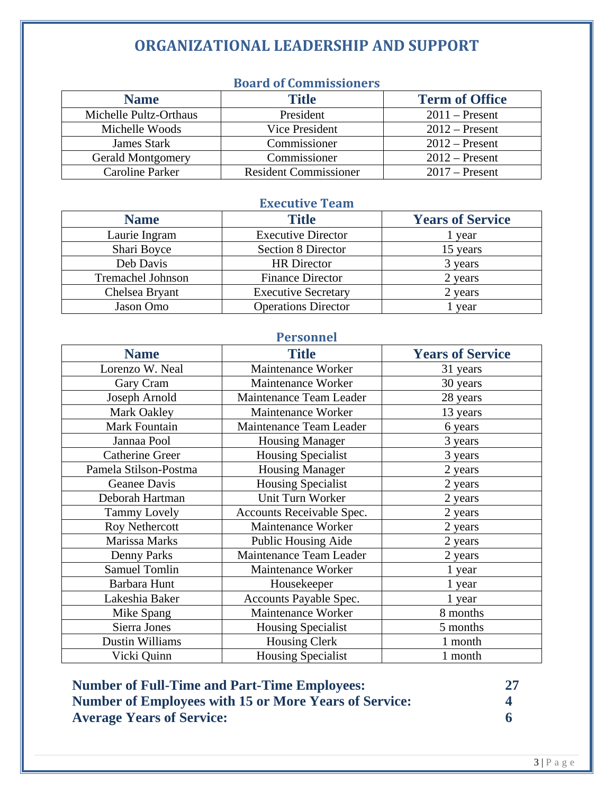## **ORGANIZATIONAL LEADERSHIP AND SUPPORT**

| <i>D</i> om a oi gomman bion a d |                              |                       |
|----------------------------------|------------------------------|-----------------------|
| <b>Name</b>                      | <b>Title</b>                 | <b>Term of Office</b> |
| Michelle Pultz-Orthaus           | President                    | $2011$ – Present      |
| Michelle Woods                   | <b>Vice President</b>        | $2012$ – Present      |
| <b>James Stark</b>               | Commissioner                 | $2012$ – Present      |
| <b>Gerald Montgomery</b>         | Commissioner                 | $2012$ – Present      |
| Caroline Parker                  | <b>Resident Commissioner</b> | $2017$ – Present      |

## **Board of Commissioners**

## **Executive Team**

| <b>Name</b>              | <b>Title</b>               | <b>Years of Service</b> |
|--------------------------|----------------------------|-------------------------|
| Laurie Ingram            | <b>Executive Director</b>  | year                    |
| Shari Boyce              | <b>Section 8 Director</b>  | 15 years                |
| Deb Davis                | <b>HR</b> Director         | 3 years                 |
| <b>Tremachel Johnson</b> | <b>Finance Director</b>    | 2 years                 |
| Chelsea Bryant           | <b>Executive Secretary</b> | 2 years                 |
| Jason Omo                | <b>Operations Director</b> | year                    |

## **Personnel**

| <b>Name</b>            | <b>Title</b>               | <b>Years of Service</b> |
|------------------------|----------------------------|-------------------------|
| Lorenzo W. Neal        | Maintenance Worker         | 31 years                |
| Gary Cram              | Maintenance Worker         | 30 years                |
| Joseph Arnold          | Maintenance Team Leader    | 28 years                |
| Mark Oakley            | Maintenance Worker         | 13 years                |
| Mark Fountain          | Maintenance Team Leader    | 6 years                 |
| Jannaa Pool            | <b>Housing Manager</b>     | 3 years                 |
| <b>Catherine Greer</b> | <b>Housing Specialist</b>  | 3 years                 |
| Pamela Stilson-Postma  | <b>Housing Manager</b>     | 2 years                 |
| Geanee Davis           | <b>Housing Specialist</b>  | 2 years                 |
| Deborah Hartman        | Unit Turn Worker           | 2 years                 |
| <b>Tammy Lovely</b>    | Accounts Receivable Spec.  | 2 years                 |
| <b>Roy Nethercott</b>  | Maintenance Worker         | 2 years                 |
| Marissa Marks          | <b>Public Housing Aide</b> | 2 years                 |
| <b>Denny Parks</b>     | Maintenance Team Leader    | 2 years                 |
| <b>Samuel Tomlin</b>   | Maintenance Worker         | 1 year                  |
| Barbara Hunt           | Housekeeper                | 1 year                  |
| Lakeshia Baker         | Accounts Payable Spec.     | 1 year                  |
| Mike Spang             | Maintenance Worker         | 8 months                |
| Sierra Jones           | Housing Specialist         | 5 months                |
| Dustin Williams        | <b>Housing Clerk</b>       | 1 month                 |
| Vicki Quinn            | <b>Housing Specialist</b>  | 1 month                 |

 **Number of Full-Time and Part-Time Employees: 27 Number of Employees with 15 or More Years of Service: 4 Average Years of Service: 6**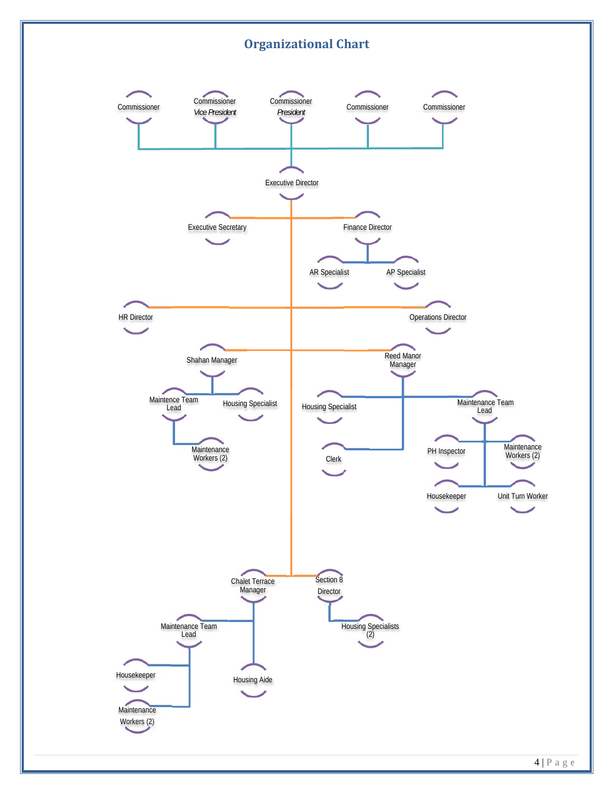## **Organizational Chart**

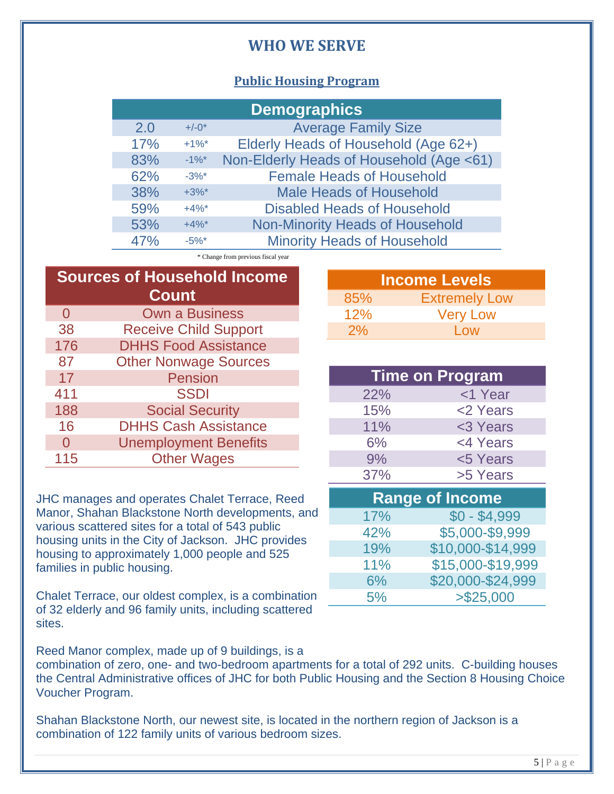## **WHO WE SERVE**

## **Public Housing Program**

| <b>Demographics</b> |          |                                          |
|---------------------|----------|------------------------------------------|
| 2.0                 | $+/-0*$  | <b>Average Family Size</b>               |
| 17%                 | $+1\%$ * | Elderly Heads of Household (Age 62+)     |
| 83%                 | $-1\%$ * | Non-Elderly Heads of Household (Age <61) |
| 62%                 | $-3%$ *  | <b>Female Heads of Household</b>         |
| 38%                 | $+3\%$ * | <b>Male Heads of Household</b>           |
| 59%                 | $+4\%$ * | <b>Disabled Heads of Household</b>       |
| 53%                 | $+4\%$ * | <b>Non-Minority Heads of Household</b>   |
| 47%                 | $-5\%$ * | <b>Minority Heads of Household</b>       |

\* Change from previous fiscal year

|     | <b>Sources of Household Income</b><br><b>Count</b> |
|-----|----------------------------------------------------|
| 0   | <b>Own a Business</b>                              |
| 38  | <b>Receive Child Support</b>                       |
| 176 | <b>DHHS Food Assistance</b>                        |
| 87  | <b>Other Nonwage Sources</b>                       |
| 17  | <b>Pension</b>                                     |
| 411 | <b>SSDI</b>                                        |
| 188 | <b>Social Security</b>                             |
| 16  | <b>DHHS Cash Assistance</b>                        |
| 0   | <b>Unemployment Benefits</b>                       |
| 115 | <b>Other Wages</b>                                 |

JHC manages and operates Chalet Terrace, Reed Manor, Shahan Blackstone North developments, and various scattered sites for a total of 543 public housing units in the City of Jackson. JHC provides housing to approximately 1,000 people and 525 families in public housing.

Chalet Terrace, our oldest complex, is a combination of 32 elderly and 96 family units, including scattered sites.

| <b>Income Levels</b> |                      |  |
|----------------------|----------------------|--|
| 85%                  | <b>Extremely Low</b> |  |
| 12%                  | <b>Very Low</b>      |  |
| 2%                   | Low                  |  |

| <b>Time on Program</b> |          |  |
|------------------------|----------|--|
| 22%                    | <1 Year  |  |
| 15%                    | <2 Years |  |
| 11%                    | <3 Years |  |
| 6%                     | <4 Years |  |
| 9%                     | <5 Years |  |
| 37%                    | >5 Years |  |

| <b>Range of Income</b> |                   |  |
|------------------------|-------------------|--|
| 17%                    | $$0 - $4,999$     |  |
| 42%                    | \$5,000-\$9,999   |  |
| 19%                    | \$10,000-\$14,999 |  |
| 11%                    | \$15,000-\$19,999 |  |
| 6%                     | \$20,000-\$24,999 |  |
| 5%                     | > \$25,000        |  |

Reed Manor complex, made up of 9 buildings, is a

combination of zero, one- and two-bedroom apartments for a total of 292 units. C-building houses the Central Administrative offices of JHC for both Public Housing and the Section 8 Housing Choice Voucher Program.

Shahan Blackstone North, our newest site, is located in the northern region of Jackson is a combination of 122 family units of various bedroom sizes.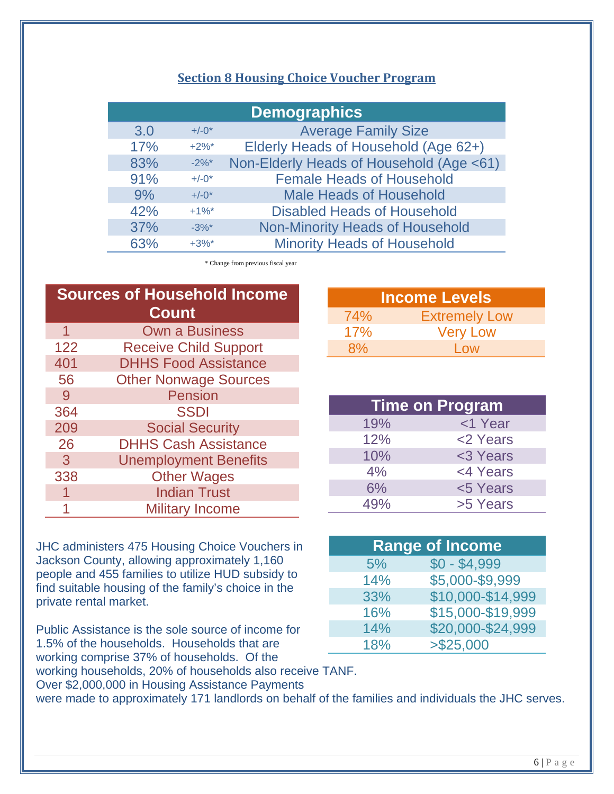## **Section 8 Housing Choice Voucher Program**

| <b>Demographics</b> |          |                                          |
|---------------------|----------|------------------------------------------|
| 3.0                 | $+/-0$ * | <b>Average Family Size</b>               |
| 17%                 | $+2\%$ * | Elderly Heads of Household (Age 62+)     |
| 83%                 | $-2\%$ * | Non-Elderly Heads of Household (Age <61) |
| 91%                 | $+/-0*$  | <b>Female Heads of Household</b>         |
| 9%                  | $+/-0*$  | <b>Male Heads of Household</b>           |
| 42%                 | $+1\%$ * | <b>Disabled Heads of Household</b>       |
| 37%                 | $-3%$ *  | <b>Non-Minority Heads of Household</b>   |
| 63%                 | $+3\%$ * | <b>Minority Heads of Household</b>       |

\* Change from previous fiscal year

|     | <b>Sources of Household Income</b><br><b>Count</b> |
|-----|----------------------------------------------------|
| 1   | <b>Own a Business</b>                              |
| 122 | <b>Receive Child Support</b>                       |
| 401 | <b>DHHS Food Assistance</b>                        |
| 56  | <b>Other Nonwage Sources</b>                       |
| 9   | <b>Pension</b>                                     |
| 364 | <b>SSDI</b>                                        |
| 209 | <b>Social Security</b>                             |
| 26  | <b>DHHS Cash Assistance</b>                        |
| 3   | <b>Unemployment Benefits</b>                       |
| 338 | <b>Other Wages</b>                                 |
|     | <b>Indian Trust</b>                                |
|     | <b>Military Income</b>                             |

JHC administers 475 Housing Choice Vouchers in Jackson County, allowing approximately 1,160 people and 455 families to utilize HUD subsidy to find suitable housing of the family's choice in the private rental market.

Public Assistance is the sole source of income for 1.5% of the households. Households that are working comprise 37% of households. Of the

working households, 20% of households also receive TANF.

Over \$2,000,000 in Housing Assistance Payments

were made to approximately 171 landlords on behalf of the families and individuals the JHC serves.

| <b>Income Levels</b> |                      |  |
|----------------------|----------------------|--|
| <b>74%</b>           | <b>Extremely Low</b> |  |
| 17%                  | <b>Very Low</b>      |  |
| 8%                   | Low                  |  |

| <b>Time on Program</b> |          |  |  |
|------------------------|----------|--|--|
| 19%                    | <1 Year  |  |  |
| 12%                    | <2 Years |  |  |
| 10%                    | <3 Years |  |  |
| 4%                     | <4 Years |  |  |
| 6%                     | <5 Years |  |  |
| 49%                    | >5 Years |  |  |

| <b>Range of Income</b> |                   |  |  |
|------------------------|-------------------|--|--|
| 5%                     | $$0 - $4,999$     |  |  |
| 14%                    | \$5,000-\$9,999   |  |  |
| 33%                    | \$10,000-\$14,999 |  |  |
| 16%                    | \$15,000-\$19,999 |  |  |
| 14%                    | \$20,000-\$24,999 |  |  |
| 18%                    | > \$25,000        |  |  |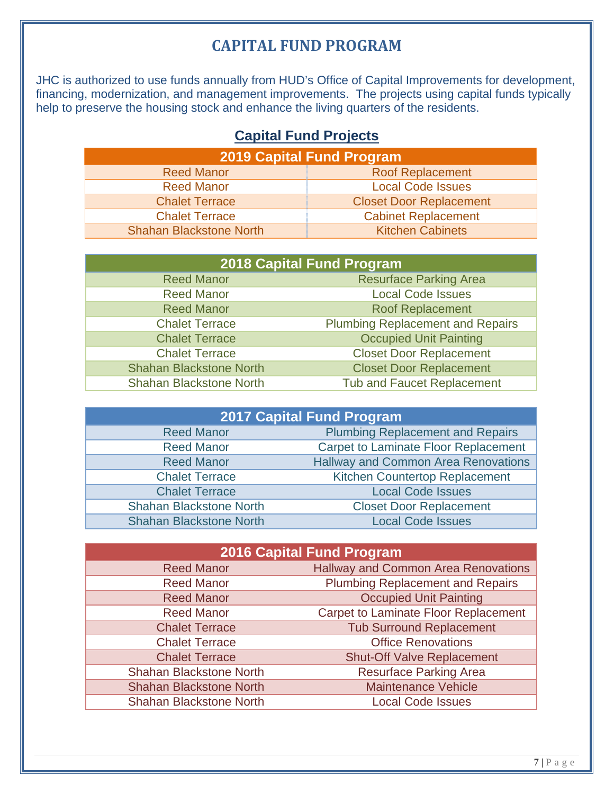## **CAPITAL FUND PROGRAM**

JHC is authorized to use funds annually from HUD's Office of Capital Improvements for development, financing, modernization, and management improvements. The projects using capital funds typically help to preserve the housing stock and enhance the living quarters of the residents.

## **Capital Fund Projects**

| 2019 Capital Fund Program                    |                                |  |  |
|----------------------------------------------|--------------------------------|--|--|
| <b>Roof Replacement</b><br><b>Reed Manor</b> |                                |  |  |
| <b>Reed Manor</b>                            | <b>Local Code Issues</b>       |  |  |
| <b>Chalet Terrace</b>                        | <b>Closet Door Replacement</b> |  |  |
| <b>Chalet Terrace</b>                        | <b>Cabinet Replacement</b>     |  |  |
| <b>Shahan Blackstone North</b>               | <b>Kitchen Cabinets</b>        |  |  |

| 2018 Capital Fund Program               |  |  |  |
|-----------------------------------------|--|--|--|
| <b>Resurface Parking Area</b>           |  |  |  |
| <b>Local Code Issues</b>                |  |  |  |
| <b>Roof Replacement</b>                 |  |  |  |
| <b>Plumbing Replacement and Repairs</b> |  |  |  |
| <b>Occupied Unit Painting</b>           |  |  |  |
| <b>Closet Door Replacement</b>          |  |  |  |
| <b>Closet Door Replacement</b>          |  |  |  |
| <b>Tub and Faucet Replacement</b>       |  |  |  |
|                                         |  |  |  |

| <b>2017 Capital Fund Program</b>                                 |                                            |  |  |
|------------------------------------------------------------------|--------------------------------------------|--|--|
| <b>Plumbing Replacement and Repairs</b><br><b>Reed Manor</b>     |                                            |  |  |
| <b>Carpet to Laminate Floor Replacement</b><br><b>Reed Manor</b> |                                            |  |  |
| <b>Reed Manor</b>                                                | <b>Hallway and Common Area Renovations</b> |  |  |
| <b>Chalet Terrace</b>                                            | Kitchen Countertop Replacement             |  |  |
| <b>Chalet Terrace</b>                                            | <b>Local Code Issues</b>                   |  |  |
| <b>Shahan Blackstone North</b>                                   | <b>Closet Door Replacement</b>             |  |  |
| <b>Shahan Blackstone North</b>                                   | <b>Local Code Issues</b>                   |  |  |

| <b>2016 Capital Fund Program</b>                                 |                                   |  |  |
|------------------------------------------------------------------|-----------------------------------|--|--|
| <b>Hallway and Common Area Renovations</b><br><b>Reed Manor</b>  |                                   |  |  |
| <b>Plumbing Replacement and Repairs</b><br><b>Reed Manor</b>     |                                   |  |  |
| <b>Occupied Unit Painting</b><br><b>Reed Manor</b>               |                                   |  |  |
| <b>Carpet to Laminate Floor Replacement</b><br><b>Reed Manor</b> |                                   |  |  |
| <b>Tub Surround Replacement</b><br><b>Chalet Terrace</b>         |                                   |  |  |
| <b>Chalet Terrace</b>                                            | <b>Office Renovations</b>         |  |  |
| <b>Chalet Terrace</b>                                            | <b>Shut-Off Valve Replacement</b> |  |  |
| <b>Shahan Blackstone North</b>                                   | <b>Resurface Parking Area</b>     |  |  |
| <b>Shahan Blackstone North</b>                                   | <b>Maintenance Vehicle</b>        |  |  |
| <b>Shahan Blackstone North</b>                                   | <b>Local Code Issues</b>          |  |  |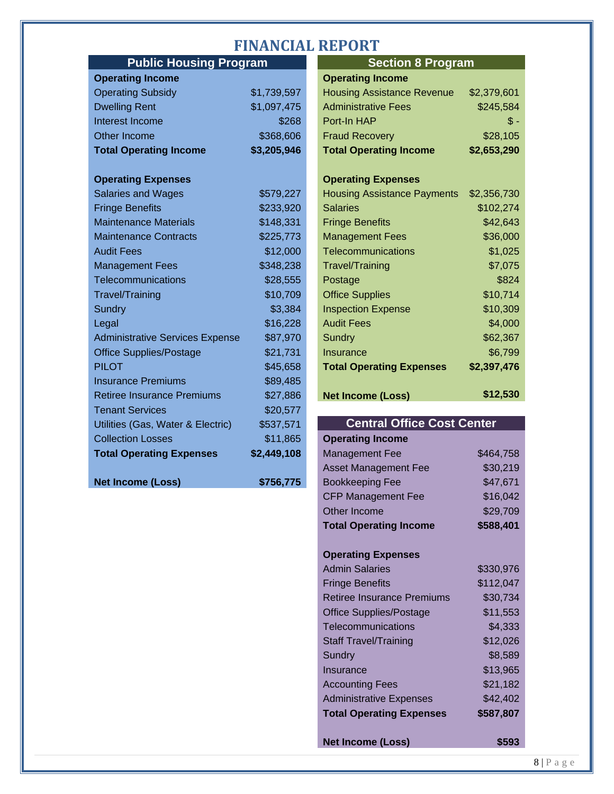## **FINANCIAL REPORT**

## **Public Housing Program**

| <b>Operating Subsidy</b>               | \$1,739,597 | <b>Housing Assistance Revenue</b>  | \$2,379,601 |
|----------------------------------------|-------------|------------------------------------|-------------|
| <b>Dwelling Rent</b>                   | \$1,097,475 | <b>Administrative Fees</b>         | \$245,584   |
| Interest Income                        | \$268       | Port-In HAP                        | $$ -$       |
| Other Income                           | \$368,606   | <b>Fraud Recovery</b>              | \$28,105    |
| <b>Total Operating Income</b>          | \$3,205,946 | <b>Total Operating Income</b>      | \$2,653,290 |
|                                        |             |                                    |             |
| <b>Operating Expenses</b>              |             | <b>Operating Expenses</b>          |             |
| <b>Salaries and Wages</b>              | \$579,227   | <b>Housing Assistance Payments</b> | \$2,356,730 |
| <b>Fringe Benefits</b>                 | \$233,920   | <b>Salaries</b>                    | \$102,274   |
| <b>Maintenance Materials</b>           | \$148,331   | <b>Fringe Benefits</b>             | \$42,643    |
| <b>Maintenance Contracts</b>           | \$225,773   | <b>Management Fees</b>             | \$36,000    |
| <b>Audit Fees</b>                      | \$12,000    | Telecommunications                 | \$1,025     |
| <b>Management Fees</b>                 | \$348,238   | <b>Travel/Training</b>             | \$7,075     |
| Telecommunications                     | \$28,555    | Postage                            | \$824       |
| <b>Travel/Training</b>                 | \$10,709    | <b>Office Supplies</b>             | \$10,714    |
| Sundry                                 | \$3,384     | <b>Inspection Expense</b>          | \$10,309    |
| Legal                                  | \$16,228    | <b>Audit Fees</b>                  | \$4,000     |
| <b>Administrative Services Expense</b> | \$87,970    | Sundry                             | \$62,367    |
| <b>Office Supplies/Postage</b>         | \$21,731    | Insurance                          | \$6,799     |
| <b>PILOT</b>                           | \$45,658    | <b>Total Operating Expenses</b>    | \$2,397,476 |
| <b>Insurance Premiums</b>              | \$89,485    |                                    |             |
| <b>Retiree Insurance Premiums</b>      | \$27,886    | <b>Net Income (Loss)</b>           | \$12,530    |
| <b>Tenant Services</b>                 | \$20,577    |                                    |             |
| Utilities (Gas, Water & Electric)      | \$537,571   | <b>Central Office Cost Center</b>  |             |
| <b>Collection Losses</b>               | \$11,865    | <b>Operating Income</b>            |             |
| <b>Total Operating Expenses</b>        | \$2,449,108 | <b>Management Fee</b>              | \$464,758   |
|                                        |             | <b>Asset Management Fee</b>        | \$30,219    |

**Net Income (Loss) \$756,775** 

**Operating Income Contract Contract Income Operating Income** 

| <b>Operating Income</b>           |             |
|-----------------------------------|-------------|
| <b>Housing Assistance Revenue</b> | \$2,379,601 |
| <b>Administrative Fees</b>        | \$245,584   |
| Port-In HAP                       | \$ -        |
| <b>Fraud Recovery</b>             | \$28,105    |
| <b>Total Operating Income</b>     | \$2,653,290 |

#### **Operating Expenses**

| <b>Housing Assistance Payments</b> | \$2,356,730 |
|------------------------------------|-------------|
| Salaries                           | \$102,274   |
| <b>Fringe Benefits</b>             | \$42.643    |
| <b>Management Fees</b>             | \$36,000    |
| Telecommunications                 | \$1,025     |
| Travel/Training                    | \$7,075     |
| Postage                            | \$824       |
| <b>Office Supplies</b>             | \$10,714    |
| <b>Inspection Expense</b>          | \$10,309    |
| Audit Fees                         | \$4.000     |
| Sundry                             | \$62,367    |
| Insurance                          | \$6,799     |
| <b>Total Operating Expenses</b>    | \$2,397,476 |
| <b>Net Income (Loss)</b>           | \$12,530    |

## **Central Office Cost Center**

|  |  |  | <b>Operating Income</b> |  |
|--|--|--|-------------------------|--|
|--|--|--|-------------------------|--|

| \$2,449,108 | <b>Management Fee</b>         | \$464,758 |
|-------------|-------------------------------|-----------|
|             | <b>Asset Management Fee</b>   | \$30,219  |
| \$756,775   | <b>Bookkeeping Fee</b>        | \$47,671  |
|             | <b>CFP Management Fee</b>     | \$16,042  |
|             | Other Income                  | \$29,709  |
|             | <b>Total Operating Income</b> | \$588,401 |
|             |                               |           |

## **Operating Expenses**

| <b>Net Income (Loss)</b>        |           |
|---------------------------------|-----------|
| <b>Total Operating Expenses</b> | \$587,807 |
| <b>Administrative Expenses</b>  | \$42,402  |
| <b>Accounting Fees</b>          | \$21,182  |
| Insurance                       | \$13,965  |
| Sundry                          | \$8,589   |
| <b>Staff Travel/Training</b>    | \$12,026  |
| Telecommunications              | \$4,333   |
| <b>Office Supplies/Postage</b>  | \$11,553  |
| Retiree Insurance Premiums      | \$30,734  |
| <b>Fringe Benefits</b>          | \$112,047 |
| <b>Admin Salaries</b>           | \$330,976 |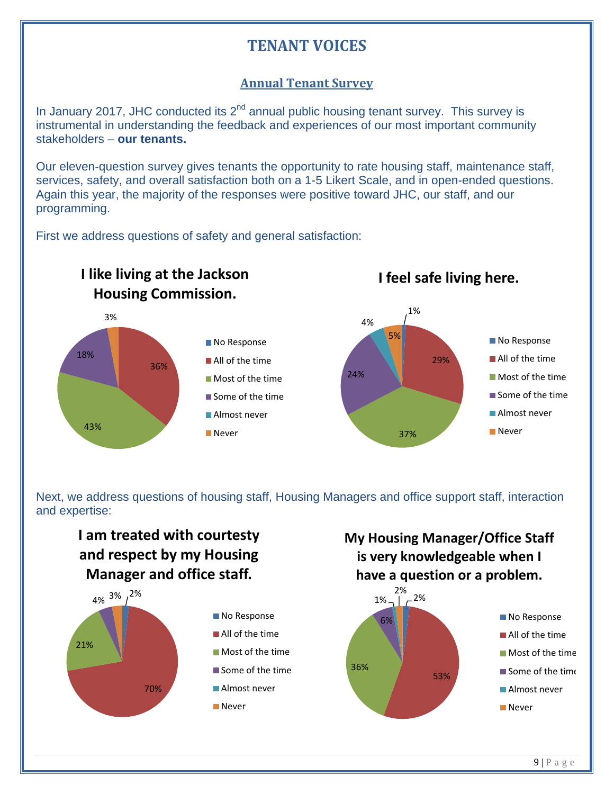## **TENANT VOICES**

## **Annual Tenant Survey**

In January 2017, JHC conducted its  $2^{nd}$  annual public housing tenant survey. This survey is instrumental in understanding the feedback and experiences of our most important community stakeholders – **our tenants.** 

Our eleven-question survey gives tenants the opportunity to rate housing staff, maintenance staff, services, safety, and overall satisfaction both on a 1-5 Likert Scale, and in open-ended questions. Again this year, the majority of the responses were positive toward JHC, our staff, and our programming.

**I like living at the Jackson**

36% 43% 18% 3% **Housing Commission.** ■ No Response ■ All of the time **Most of the time** ■ Some of the time ■ Almost never **Never** 1% 29% 37% 24% 4% 5% No Response **All of the time Most of the time** ■ Some of the time **Almost never Never** 

First we address questions of safety and general satisfaction:

Next, we address questions of housing staff, Housing Managers and office support staff, interaction and expertise:

## **I am treated with courtesty and respect by my Housing Manager and office staff.**



## **My Housing Manager/Office Staff is very knowledgeable when I have a question or a problem.**

**I feel safe living here.**

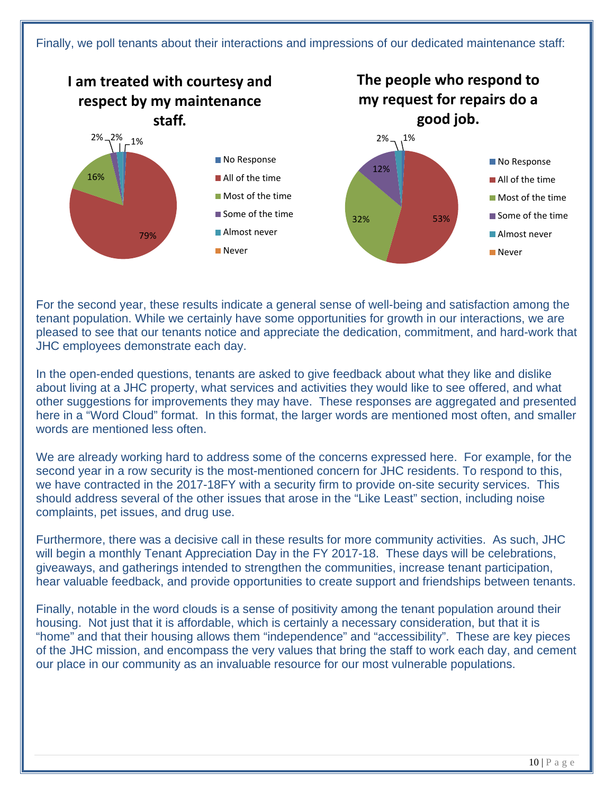Finally, we poll tenants about their interactions and impressions of our dedicated maintenance staff:



For the second year, these results indicate a general sense of well-being and satisfaction among the tenant population. While we certainly have some opportunities for growth in our interactions, we are pleased to see that our tenants notice and appreciate the dedication, commitment, and hard-work that JHC employees demonstrate each day.

In the open-ended questions, tenants are asked to give feedback about what they like and dislike about living at a JHC property, what services and activities they would like to see offered, and what other suggestions for improvements they may have. These responses are aggregated and presented here in a "Word Cloud" format. In this format, the larger words are mentioned most often, and smaller words are mentioned less often.

We are already working hard to address some of the concerns expressed here. For example, for the second year in a row security is the most-mentioned concern for JHC residents. To respond to this, we have contracted in the 2017-18FY with a security firm to provide on-site security services. This should address several of the other issues that arose in the "Like Least" section, including noise complaints, pet issues, and drug use.

Furthermore, there was a decisive call in these results for more community activities. As such, JHC will begin a monthly Tenant Appreciation Day in the FY 2017-18. These days will be celebrations, giveaways, and gatherings intended to strengthen the communities, increase tenant participation, hear valuable feedback, and provide opportunities to create support and friendships between tenants.

Finally, notable in the word clouds is a sense of positivity among the tenant population around their housing. Not just that it is affordable, which is certainly a necessary consideration, but that it is "home" and that their housing allows them "independence" and "accessibility". These are key pieces of the JHC mission, and encompass the very values that bring the staff to work each day, and cement our place in our community as an invaluable resource for our most vulnerable populations.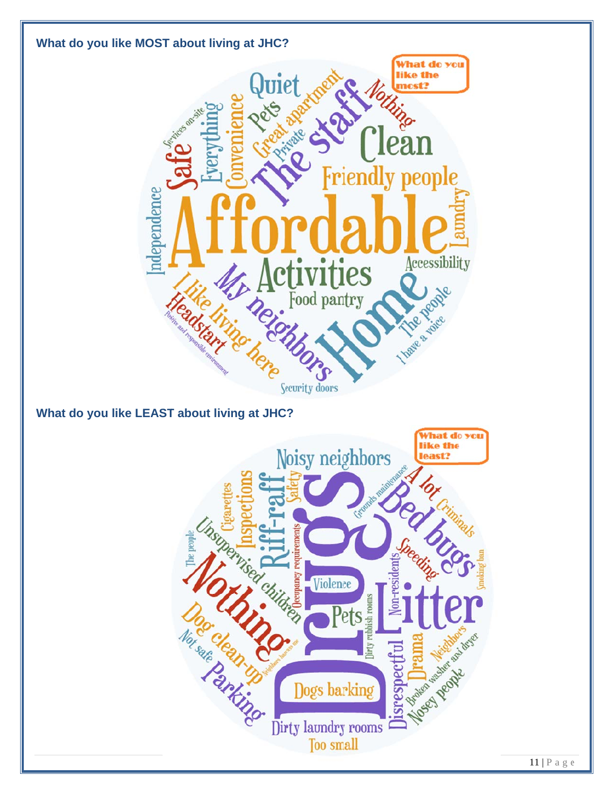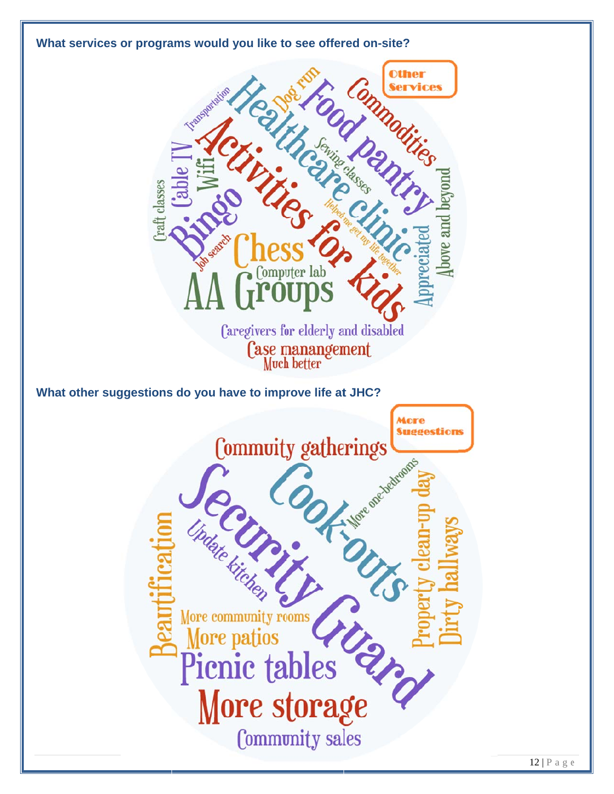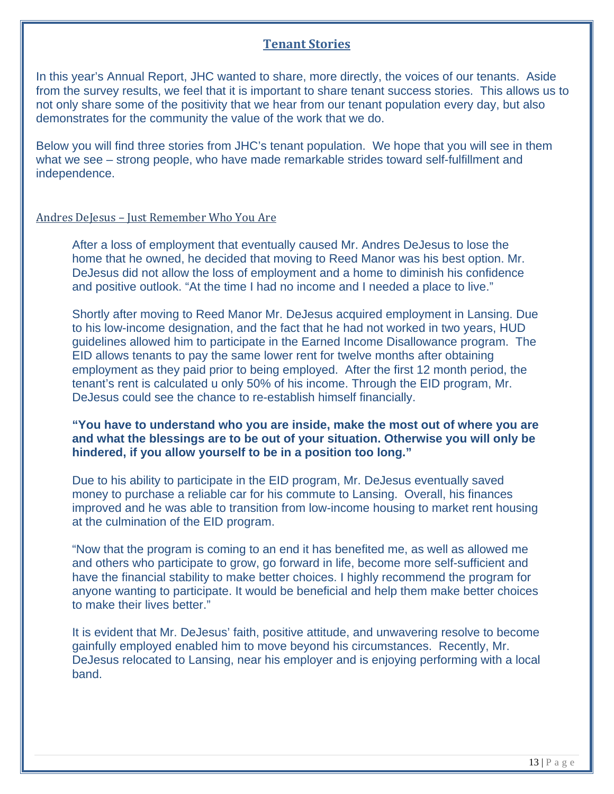## **Tenant Stories**

In this year's Annual Report, JHC wanted to share, more directly, the voices of our tenants. Aside from the survey results, we feel that it is important to share tenant success stories. This allows us to not only share some of the positivity that we hear from our tenant population every day, but also demonstrates for the community the value of the work that we do.

Below you will find three stories from JHC's tenant population. We hope that you will see in them what we see – strong people, who have made remarkable strides toward self-fulfillment and independence.

#### Andres DeJesus – Just Remember Who You Are

After a loss of employment that eventually caused Mr. Andres DeJesus to lose the home that he owned, he decided that moving to Reed Manor was his best option. Mr. DeJesus did not allow the loss of employment and a home to diminish his confidence and positive outlook. "At the time I had no income and I needed a place to live."

Shortly after moving to Reed Manor Mr. DeJesus acquired employment in Lansing. Due to his low-income designation, and the fact that he had not worked in two years, HUD guidelines allowed him to participate in the Earned Income Disallowance program. The EID allows tenants to pay the same lower rent for twelve months after obtaining employment as they paid prior to being employed. After the first 12 month period, the tenant's rent is calculated u only 50% of his income. Through the EID program, Mr. DeJesus could see the chance to re-establish himself financially.

### **"You have to understand who you are inside, make the most out of where you are and what the blessings are to be out of your situation. Otherwise you will only be hindered, if you allow yourself to be in a position too long."**

Due to his ability to participate in the EID program, Mr. DeJesus eventually saved money to purchase a reliable car for his commute to Lansing. Overall, his finances improved and he was able to transition from low-income housing to market rent housing at the culmination of the EID program.

"Now that the program is coming to an end it has benefited me, as well as allowed me and others who participate to grow, go forward in life, become more self-sufficient and have the financial stability to make better choices. I highly recommend the program for anyone wanting to participate. It would be beneficial and help them make better choices to make their lives better."

It is evident that Mr. DeJesus' faith, positive attitude, and unwavering resolve to become gainfully employed enabled him to move beyond his circumstances. Recently, Mr. DeJesus relocated to Lansing, near his employer and is enjoying performing with a local band.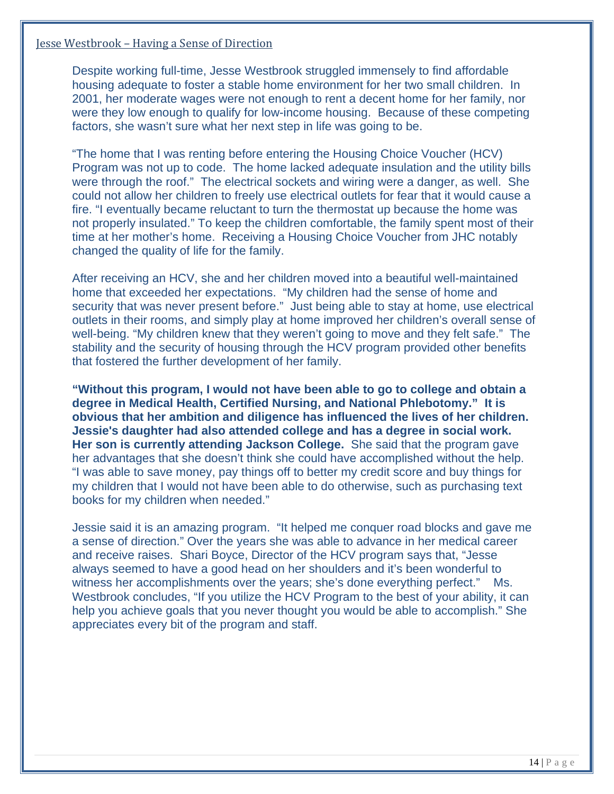#### <u>**Jesse Westbrook - Having a Sense of Direction**</u>

Despite working full-time, Jesse Westbrook struggled immensely to find affordable housing adequate to foster a stable home environment for her two small children. In 2001, her moderate wages were not enough to rent a decent home for her family, nor were they low enough to qualify for low-income housing. Because of these competing factors, she wasn't sure what her next step in life was going to be.

"The home that I was renting before entering the Housing Choice Voucher (HCV) Program was not up to code. The home lacked adequate insulation and the utility bills were through the roof." The electrical sockets and wiring were a danger, as well. She could not allow her children to freely use electrical outlets for fear that it would cause a fire. "I eventually became reluctant to turn the thermostat up because the home was not properly insulated." To keep the children comfortable, the family spent most of their time at her mother's home. Receiving a Housing Choice Voucher from JHC notably changed the quality of life for the family.

After receiving an HCV, she and her children moved into a beautiful well-maintained home that exceeded her expectations. "My children had the sense of home and security that was never present before." Just being able to stay at home, use electrical outlets in their rooms, and simply play at home improved her children's overall sense of well-being. "My children knew that they weren't going to move and they felt safe." The stability and the security of housing through the HCV program provided other benefits that fostered the further development of her family.

**"Without this program, I would not have been able to go to college and obtain a degree in Medical Health, Certified Nursing, and National Phlebotomy." It is obvious that her ambition and diligence has influenced the lives of her children. Jessie's daughter had also attended college and has a degree in social work. Her son is currently attending Jackson College.** She said that the program gave her advantages that she doesn't think she could have accomplished without the help. "I was able to save money, pay things off to better my credit score and buy things for my children that I would not have been able to do otherwise, such as purchasing text books for my children when needed."

Jessie said it is an amazing program. "It helped me conquer road blocks and gave me a sense of direction." Over the years she was able to advance in her medical career and receive raises. Shari Boyce, Director of the HCV program says that, "Jesse always seemed to have a good head on her shoulders and it's been wonderful to witness her accomplishments over the years; she's done everything perfect." Ms. Westbrook concludes, "If you utilize the HCV Program to the best of your ability, it can help you achieve goals that you never thought you would be able to accomplish." She appreciates every bit of the program and staff.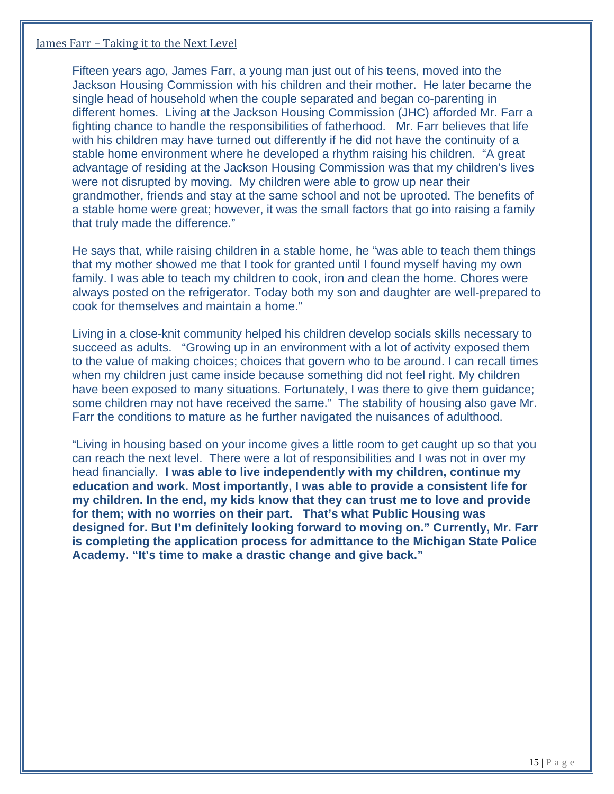#### <u>Iames Farr – Taking it to the Next Level</u>

Fifteen years ago, James Farr, a young man just out of his teens, moved into the Jackson Housing Commission with his children and their mother. He later became the single head of household when the couple separated and began co-parenting in different homes. Living at the Jackson Housing Commission (JHC) afforded Mr. Farr a fighting chance to handle the responsibilities of fatherhood. Mr. Farr believes that life with his children may have turned out differently if he did not have the continuity of a stable home environment where he developed a rhythm raising his children. "A great advantage of residing at the Jackson Housing Commission was that my children's lives were not disrupted by moving. My children were able to grow up near their grandmother, friends and stay at the same school and not be uprooted. The benefits of a stable home were great; however, it was the small factors that go into raising a family that truly made the difference."

He says that, while raising children in a stable home, he "was able to teach them things that my mother showed me that I took for granted until I found myself having my own family. I was able to teach my children to cook, iron and clean the home. Chores were always posted on the refrigerator. Today both my son and daughter are well-prepared to cook for themselves and maintain a home."

Living in a close-knit community helped his children develop socials skills necessary to succeed as adults. "Growing up in an environment with a lot of activity exposed them to the value of making choices; choices that govern who to be around. I can recall times when my children just came inside because something did not feel right. My children have been exposed to many situations. Fortunately, I was there to give them guidance; some children may not have received the same." The stability of housing also gave Mr. Farr the conditions to mature as he further navigated the nuisances of adulthood.

"Living in housing based on your income gives a little room to get caught up so that you can reach the next level. There were a lot of responsibilities and I was not in over my head financially. **I was able to live independently with my children, continue my education and work. Most importantly, I was able to provide a consistent life for my children. In the end, my kids know that they can trust me to love and provide for them; with no worries on their part. That's what Public Housing was designed for. But I'm definitely looking forward to moving on." Currently, Mr. Farr is completing the application process for admittance to the Michigan State Police Academy. "It's time to make a drastic change and give back."**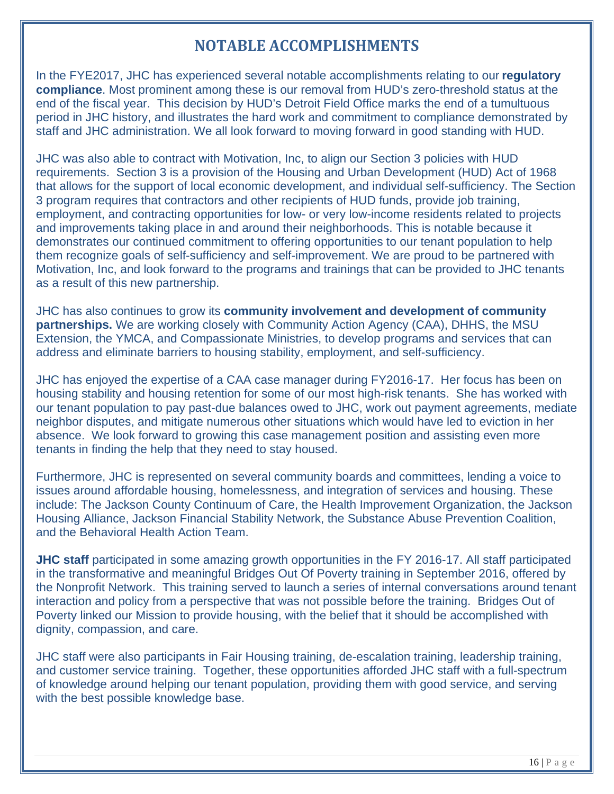## **NOTABLE ACCOMPLISHMENTS**

In the FYE2017, JHC has experienced several notable accomplishments relating to our **regulatory compliance**. Most prominent among these is our removal from HUD's zero-threshold status at the end of the fiscal year. This decision by HUD's Detroit Field Office marks the end of a tumultuous period in JHC history, and illustrates the hard work and commitment to compliance demonstrated by staff and JHC administration. We all look forward to moving forward in good standing with HUD.

JHC was also able to contract with Motivation, Inc, to align our Section 3 policies with HUD requirements. Section 3 is a provision of the Housing and Urban Development (HUD) Act of 1968 that allows for the support of local economic development, and individual self-sufficiency. The Section 3 program requires that contractors and other recipients of HUD funds, provide job training, employment, and contracting opportunities for low- or very low-income residents related to projects and improvements taking place in and around their neighborhoods. This is notable because it demonstrates our continued commitment to offering opportunities to our tenant population to help them recognize goals of self-sufficiency and self-improvement. We are proud to be partnered with Motivation, Inc, and look forward to the programs and trainings that can be provided to JHC tenants as a result of this new partnership.

JHC has also continues to grow its **community involvement and development of community partnerships.** We are working closely with Community Action Agency (CAA), DHHS, the MSU Extension, the YMCA, and Compassionate Ministries, to develop programs and services that can address and eliminate barriers to housing stability, employment, and self-sufficiency.

JHC has enjoyed the expertise of a CAA case manager during FY2016-17. Her focus has been on housing stability and housing retention for some of our most high-risk tenants. She has worked with our tenant population to pay past-due balances owed to JHC, work out payment agreements, mediate neighbor disputes, and mitigate numerous other situations which would have led to eviction in her absence. We look forward to growing this case management position and assisting even more tenants in finding the help that they need to stay housed.

Furthermore, JHC is represented on several community boards and committees, lending a voice to issues around affordable housing, homelessness, and integration of services and housing. These include: The Jackson County Continuum of Care, the Health Improvement Organization, the Jackson Housing Alliance, Jackson Financial Stability Network, the Substance Abuse Prevention Coalition, and the Behavioral Health Action Team.

**JHC staff** participated in some amazing growth opportunities in the FY 2016-17. All staff participated in the transformative and meaningful Bridges Out Of Poverty training in September 2016, offered by the Nonprofit Network. This training served to launch a series of internal conversations around tenant interaction and policy from a perspective that was not possible before the training. Bridges Out of Poverty linked our Mission to provide housing, with the belief that it should be accomplished with dignity, compassion, and care.

JHC staff were also participants in Fair Housing training, de-escalation training, leadership training, and customer service training. Together, these opportunities afforded JHC staff with a full-spectrum of knowledge around helping our tenant population, providing them with good service, and serving with the best possible knowledge base.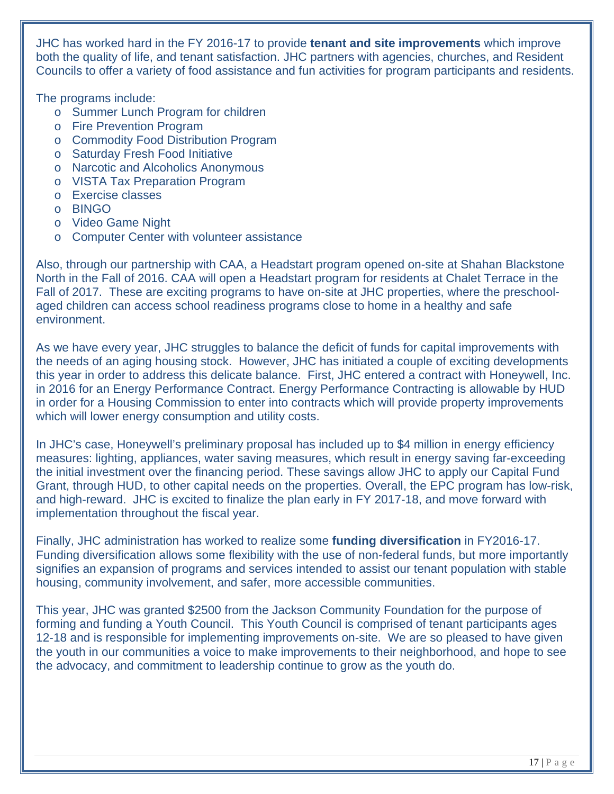JHC has worked hard in the FY 2016-17 to provide **tenant and site improvements** which improve both the quality of life, and tenant satisfaction. JHC partners with agencies, churches, and Resident Councils to offer a variety of food assistance and fun activities for program participants and residents.

The programs include:

- o Summer Lunch Program for children
- o Fire Prevention Program
- o Commodity Food Distribution Program
- o Saturday Fresh Food Initiative
- o Narcotic and Alcoholics Anonymous
- o VISTA Tax Preparation Program
- o Exercise classes
- o BINGO
- o Video Game Night
- o Computer Center with volunteer assistance

Also, through our partnership with CAA, a Headstart program opened on-site at Shahan Blackstone North in the Fall of 2016. CAA will open a Headstart program for residents at Chalet Terrace in the Fall of 2017. These are exciting programs to have on-site at JHC properties, where the preschoolaged children can access school readiness programs close to home in a healthy and safe environment.

As we have every year, JHC struggles to balance the deficit of funds for capital improvements with the needs of an aging housing stock. However, JHC has initiated a couple of exciting developments this year in order to address this delicate balance. First, JHC entered a contract with Honeywell, Inc. in 2016 for an Energy Performance Contract. Energy Performance Contracting is allowable by HUD in order for a Housing Commission to enter into contracts which will provide property improvements which will lower energy consumption and utility costs.

In JHC's case, Honeywell's preliminary proposal has included up to \$4 million in energy efficiency measures: lighting, appliances, water saving measures, which result in energy saving far-exceeding the initial investment over the financing period. These savings allow JHC to apply our Capital Fund Grant, through HUD, to other capital needs on the properties. Overall, the EPC program has low-risk, and high-reward. JHC is excited to finalize the plan early in FY 2017-18, and move forward with implementation throughout the fiscal year.

Finally, JHC administration has worked to realize some **funding diversification** in FY2016-17. Funding diversification allows some flexibility with the use of non-federal funds, but more importantly signifies an expansion of programs and services intended to assist our tenant population with stable housing, community involvement, and safer, more accessible communities.

This year, JHC was granted \$2500 from the Jackson Community Foundation for the purpose of forming and funding a Youth Council. This Youth Council is comprised of tenant participants ages 12-18 and is responsible for implementing improvements on-site. We are so pleased to have given the youth in our communities a voice to make improvements to their neighborhood, and hope to see the advocacy, and commitment to leadership continue to grow as the youth do.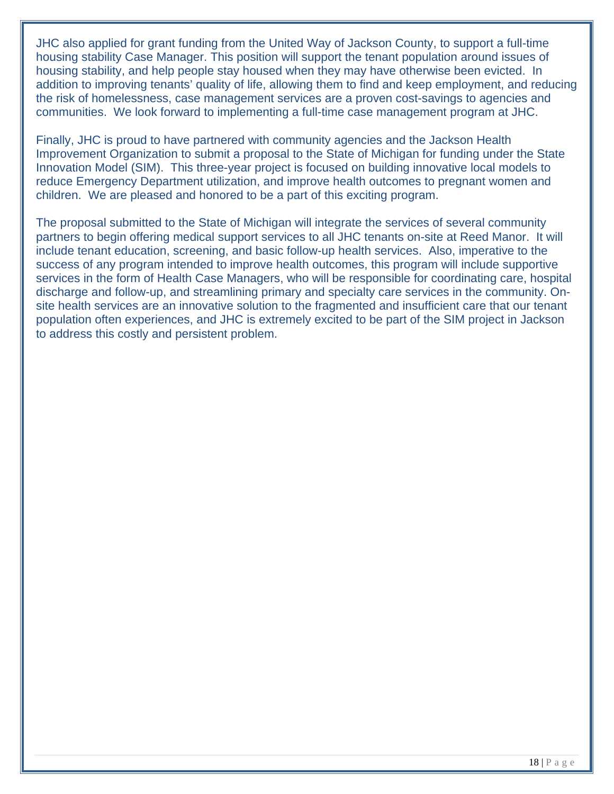JHC also applied for grant funding from the United Way of Jackson County, to support a full-time housing stability Case Manager. This position will support the tenant population around issues of housing stability, and help people stay housed when they may have otherwise been evicted. In addition to improving tenants' quality of life, allowing them to find and keep employment, and reducing the risk of homelessness, case management services are a proven cost-savings to agencies and communities. We look forward to implementing a full-time case management program at JHC.

Finally, JHC is proud to have partnered with community agencies and the Jackson Health Improvement Organization to submit a proposal to the State of Michigan for funding under the State Innovation Model (SIM). This three-year project is focused on building innovative local models to reduce Emergency Department utilization, and improve health outcomes to pregnant women and children. We are pleased and honored to be a part of this exciting program.

The proposal submitted to the State of Michigan will integrate the services of several community partners to begin offering medical support services to all JHC tenants on-site at Reed Manor. It will include tenant education, screening, and basic follow-up health services. Also, imperative to the success of any program intended to improve health outcomes, this program will include supportive services in the form of Health Case Managers, who will be responsible for coordinating care, hospital discharge and follow-up, and streamlining primary and specialty care services in the community. Onsite health services are an innovative solution to the fragmented and insufficient care that our tenant population often experiences, and JHC is extremely excited to be part of the SIM project in Jackson to address this costly and persistent problem.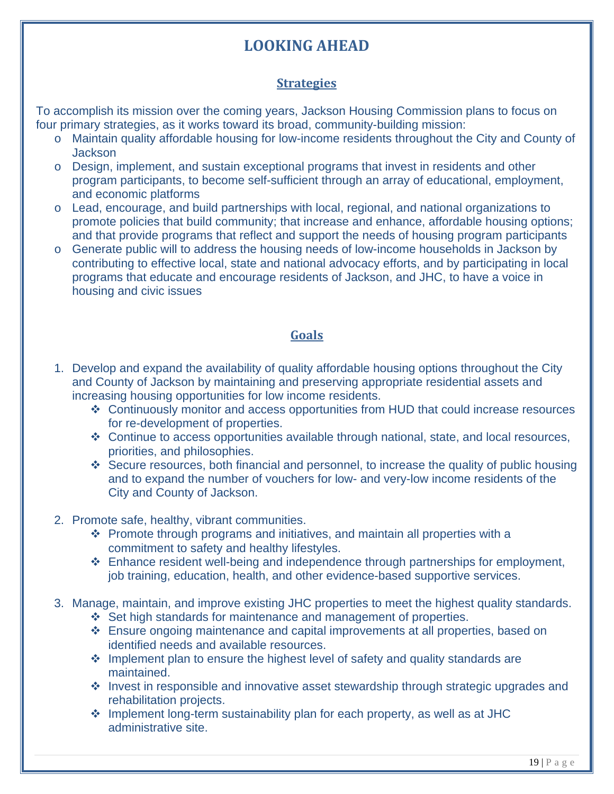## **LOOKING AHEAD**

## **Strategies**

To accomplish its mission over the coming years, Jackson Housing Commission plans to focus on four primary strategies, as it works toward its broad, community-building mission:

- o Maintain quality affordable housing for low-income residents throughout the City and County of **Jackson**
- o Design, implement, and sustain exceptional programs that invest in residents and other program participants, to become self-sufficient through an array of educational, employment, and economic platforms
- o Lead, encourage, and build partnerships with local, regional, and national organizations to promote policies that build community; that increase and enhance, affordable housing options; and that provide programs that reflect and support the needs of housing program participants
- o Generate public will to address the housing needs of low-income households in Jackson by contributing to effective local, state and national advocacy efforts, and by participating in local programs that educate and encourage residents of Jackson, and JHC, to have a voice in housing and civic issues

## **Goals**

- 1. Develop and expand the availability of quality affordable housing options throughout the City and County of Jackson by maintaining and preserving appropriate residential assets and increasing housing opportunities for low income residents.
	- Continuously monitor and access opportunities from HUD that could increase resources for re-development of properties.
	- Continue to access opportunities available through national, state, and local resources, priorities, and philosophies.
	- Secure resources, both financial and personnel, to increase the quality of public housing and to expand the number of vouchers for low- and very-low income residents of the City and County of Jackson.

## 2. Promote safe, healthy, vibrant communities.

- $\div$  Promote through programs and initiatives, and maintain all properties with a commitment to safety and healthy lifestyles.
- Enhance resident well-being and independence through partnerships for employment, job training, education, health, and other evidence-based supportive services.

## 3. Manage, maintain, and improve existing JHC properties to meet the highest quality standards.

- Set high standards for maintenance and management of properties.
- Ensure ongoing maintenance and capital improvements at all properties, based on identified needs and available resources.
- $\cdot$  Implement plan to ensure the highest level of safety and quality standards are maintained.
- Invest in responsible and innovative asset stewardship through strategic upgrades and rehabilitation projects.
- $\div$  Implement long-term sustainability plan for each property, as well as at JHC administrative site.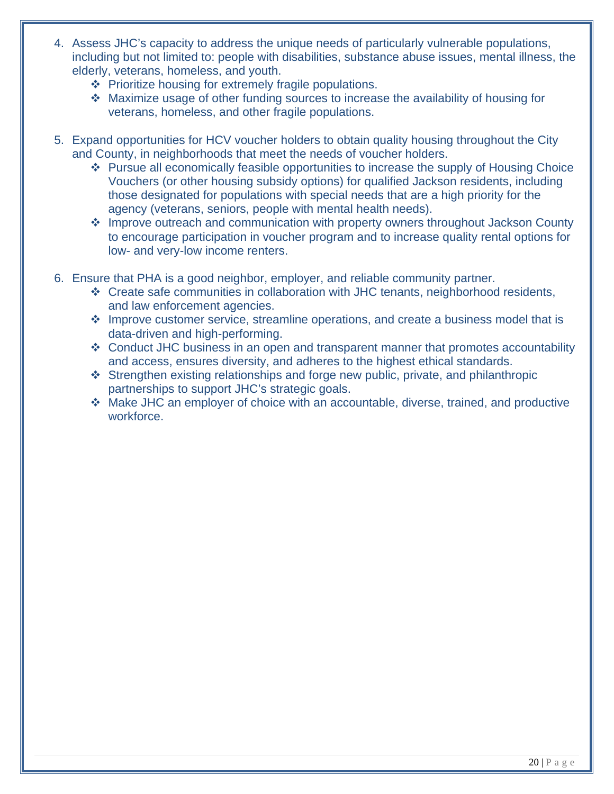- 4. Assess JHC's capacity to address the unique needs of particularly vulnerable populations, including but not limited to: people with disabilities, substance abuse issues, mental illness, the elderly, veterans, homeless, and youth.
	- ❖ Prioritize housing for extremely fragile populations.
	- Maximize usage of other funding sources to increase the availability of housing for veterans, homeless, and other fragile populations.
- 5. Expand opportunities for HCV voucher holders to obtain quality housing throughout the City and County, in neighborhoods that meet the needs of voucher holders.
	- Pursue all economically feasible opportunities to increase the supply of Housing Choice Vouchers (or other housing subsidy options) for qualified Jackson residents, including those designated for populations with special needs that are a high priority for the agency (veterans, seniors, people with mental health needs).
	- Improve outreach and communication with property owners throughout Jackson County to encourage participation in voucher program and to increase quality rental options for low- and very-low income renters.
- 6. Ensure that PHA is a good neighbor, employer, and reliable community partner.
	- Create safe communities in collaboration with JHC tenants, neighborhood residents, and law enforcement agencies.
	- Improve customer service, streamline operations, and create a business model that is data-driven and high-performing.
	- Conduct JHC business in an open and transparent manner that promotes accountability and access, ensures diversity, and adheres to the highest ethical standards.
	- Strengthen existing relationships and forge new public, private, and philanthropic partnerships to support JHC's strategic goals.
	- Make JHC an employer of choice with an accountable, diverse, trained, and productive workforce.